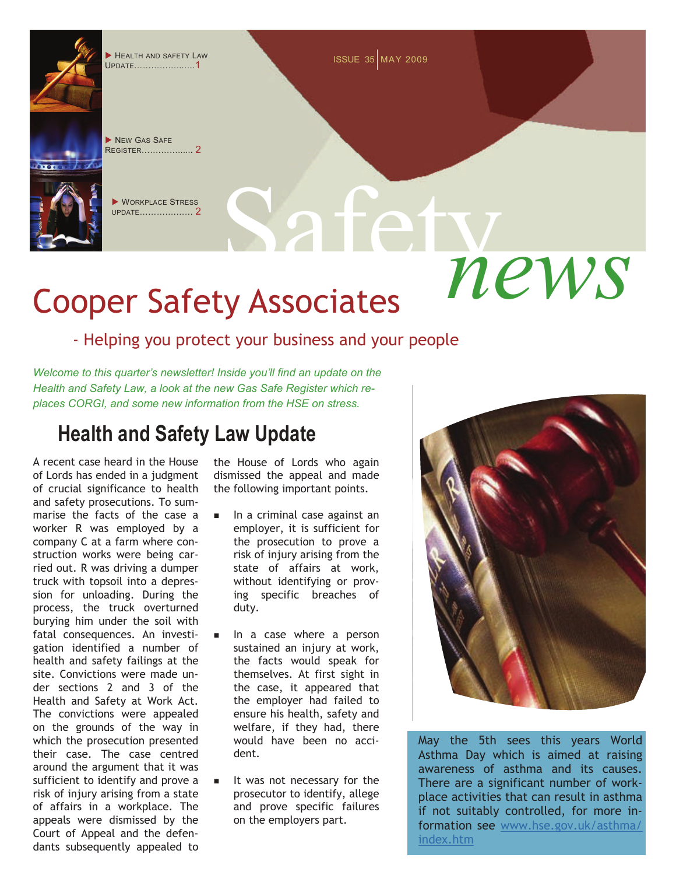# Safety *news* Cooper Safety Associates

#### - Helping you protect your business and your people

*Welcome to this quarter's newsletter! Inside you'll find an update on the Health and Safety Law, a look at the new Gas Safe Register which replaces CORGI, and some new information from the HSE on stress.* 

### **Health and Safety Law Update**

UPDATE……………...….1

**XEW GAS SAFE** REGISTER… $\qquad \qquad \qquad \qquad \qquad$ 

**XORKPLACE STRESS** UPDATE………….…… 2

A recent case heard in the House of Lords has ended in a judgment of crucial significance to health and safety prosecutions. To summarise the facts of the case a worker R was employed by a company C at a farm where construction works were being carried out. R was driving a dumper truck with topsoil into a depression for unloading. During the process, the truck overturned burying him under the soil with fatal consequences. An investigation identified a number of health and safety failings at the site. Convictions were made under sections 2 and 3 of the Health and Safety at Work Act. The convictions were appealed on the grounds of the way in which the prosecution presented their case. The case centred around the argument that it was sufficient to identify and prove a risk of injury arising from a state of affairs in a workplace. The appeals were dismissed by the Court of Appeal and the defendants subsequently appealed to

the House of Lords who again dismissed the appeal and made the following important points.

- $\blacksquare$  In a criminal case against an employer, it is sufficient for the prosecution to prove a risk of injury arising from the state of affairs at work, without identifying or proving specific breaches of duty.
- In a case where a person sustained an injury at work, the facts would speak for themselves. At first sight in the case, it appeared that the employer had failed to ensure his health, safety and welfare, if they had, there would have been no accident.
- It was not necessary for the prosecutor to identify, allege and prove specific failures on the employers part.



formation see [www.hse.gov.uk/asthma/](http://www.hse.gov.uk/asthma/index.htm) [index.htm](http://www.hse.gov.uk/asthma/index.htm)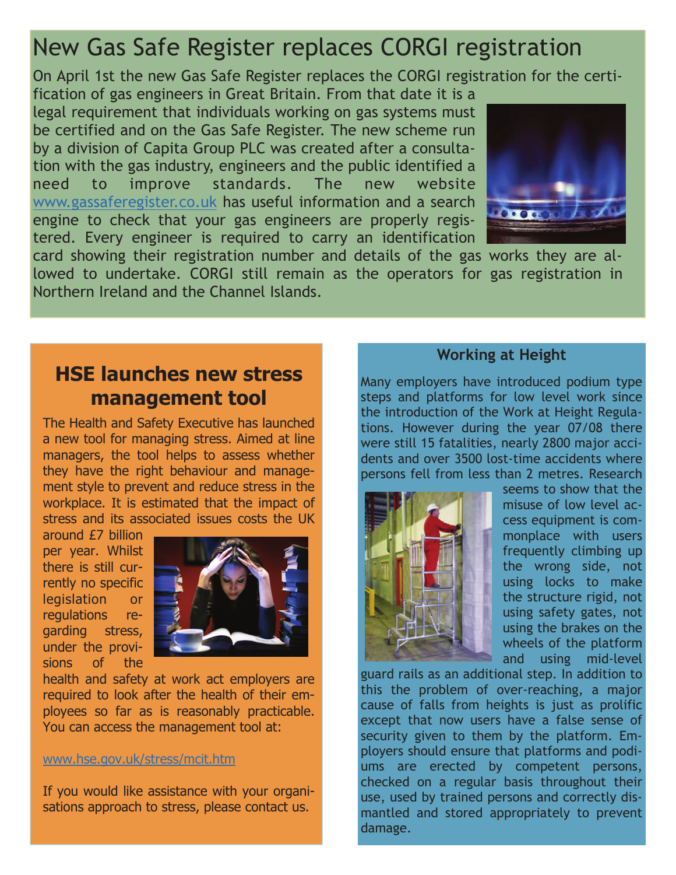[www.gassaferegister.co.uk](http://www.gassaferegister.co.uk/) has useful information and a search



#### **HSE launches new stress management tool**



#### [www.hse.gov.uk/stress/mcit.htm](http://www.hse.gov.uk/stress/mcit.htm)

#### **Working at Height**

Many employers have introduced podium type steps and platforms for low level work since the introduction of the Work at Height Regulations. However during the year 07/08 there were still 15 fatalities, nearly 2800 major accidents and over 3500 lost-time accidents where persons fell from less than 2 metres. Research



seems to show that the misuse of low level access equipment is commonplace with users frequently climbing up the wrong side, not using locks to make the structure rigid, not using safety gates, not using the brakes on the wheels of the platform and using mid-level

guard rails as an additional step. In addition to this the problem of over-reaching, a major cause of falls from heights is just as prolific except that now users have a false sense of security given to them by the platform. Employers should ensure that platforms and podiums are erected by competent persons, checked on a regular basis throughout their use, used by trained persons and correctly dismantled and stored appropriately to prevent damage.